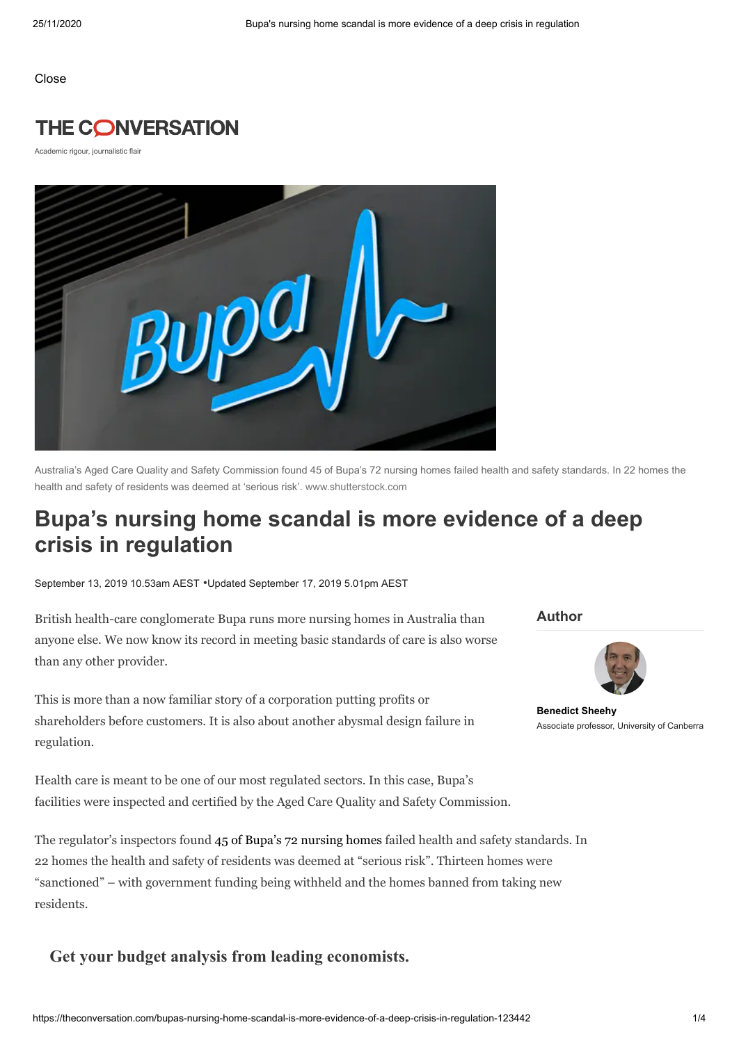Close

## **THE CONVERSATION**

Academic rigour, journalistic flair



Australia's Aged Care Quality and Safety Commission found 45 of Bupa's 72 nursing homes failed health and safety standards. In 22 homes the health and safety of residents was deemed at 'serious risk'. www.shutterstock.com

# **Bupa's nursing home scandal is more evidence of a deep crisis in regulation**

September 13, 2019 10.53am AEST •Updated September 17, 2019 5.01pm AEST

British health-care conglomerate Bupa runs more nursing homes in Australia than anyone else. We now know its record in meeting basic standards of care is also worse than any other provider.

This is more than a now familiar story of a corporation putting profits or shareholders before customers. It is also about another abysmal design failure in regulation.

Health care is meant to be one of our most regulated sectors. In this case, Bupa's facilities were inspected and certified by the Aged Care Quality and Safety Commission.

The regulator's inspectors found 45 of Bupa's 72 [nursing](https://www.abc.net.au/news/2019-09-12/bupas-aged-care-homes-failing-standards-across-australia/11501050) homes failed health and safety standards. In 22 homes the health and safety of residents was deemed at "serious risk". Thirteen homes were "sanctioned" – with government funding being withheld and the homes banned from taking new residents.

### **Get your budget analysis from leading economists.**

**Author**



**[Benedict](https://theconversation.com/profiles/benedict-sheehy-14933) Sheehy** Associate professor, University of Canberra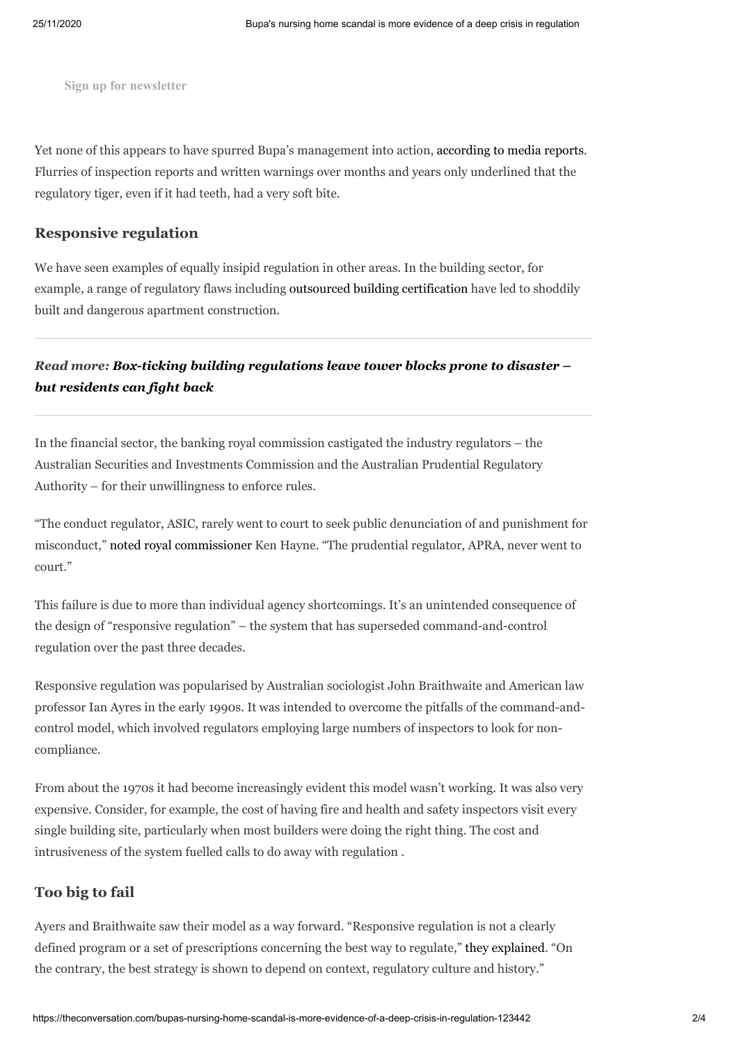**Sign up for newsletter**

Yet none of this appears to have spurred Bupa's management into action, [according](https://www.theguardian.com/australia-news/2019/sep/12/something-is-wrong-at-the-top-how-bupas-aged-care-homes-hit-rock-bottom) to media reports. Flurries of inspection reports and written warnings over months and years only underlined that the regulatory tiger, even if it had teeth, had a very soft bite.

#### **Responsive regulation**

We have seen examples of equally insipid regulation in other areas. In the building sector, for example, a range of regulatory flaws including outsourced building [certification](https://theconversation.com/there-are-lessons-to-be-drawn-from-the-cracks-that-appeared-in-sydneys-opal-tower-but-they-extend-beyond-building-certification-109428) have led to shoddily built and dangerous apartment construction.

## *Read more: Box-ticking building [regulations](https://theconversation.com/box-ticking-building-regulations-leave-tower-blocks-prone-to-disaster-but-residents-can-fight-back-98183) leave tower blocks prone to disaster – but residents can fight back*

In the financial sector, the banking royal commission castigated the industry regulators – the Australian Securities and Investments Commission and the Australian Prudential Regulatory Authority – for their unwillingness to enforce rules.

"The conduct regulator, ASIC, rarely went to court to seek public denunciation of and punishment for misconduct," noted royal [commissioner](https://www.smh.com.au/business/banking-and-finance/weak-watchdog-slammed-for-reluctance-on-enforcement-20180927-p506fx.html) Ken Hayne. "The prudential regulator, APRA, never went to court."

This failure is due to more than individual agency shortcomings. It's an unintended consequence of the design of "responsive regulation" – the system that has superseded command-and-control regulation over the past three decades.

Responsive regulation was popularised by Australian sociologist John Braithwaite and American law professor Ian Ayres in the early 1990s. It was intended to overcome the pitfalls of the command-andcontrol model, which involved regulators employing large numbers of inspectors to look for noncompliance.

From about the 1970s it had become increasingly evident this model wasn't working. It was also very expensive. Consider, for example, the cost of having fire and health and safety inspectors visit every single building site, particularly when most builders were doing the right thing. The cost and intrusiveness of the system fuelled calls to do away with regulation .

#### **Too big to fail**

Ayers and Braithwaite saw their model as a way forward. "Responsive regulation is not a clearly defined program or a set of prescriptions concerning the best way to regulate," they [explained.](http://johnbraithwaite.com/wp-content/uploads/2016/06/Responsive-Regulation-Transce.pdf) "On the contrary, the best strategy is shown to depend on context, regulatory culture and history."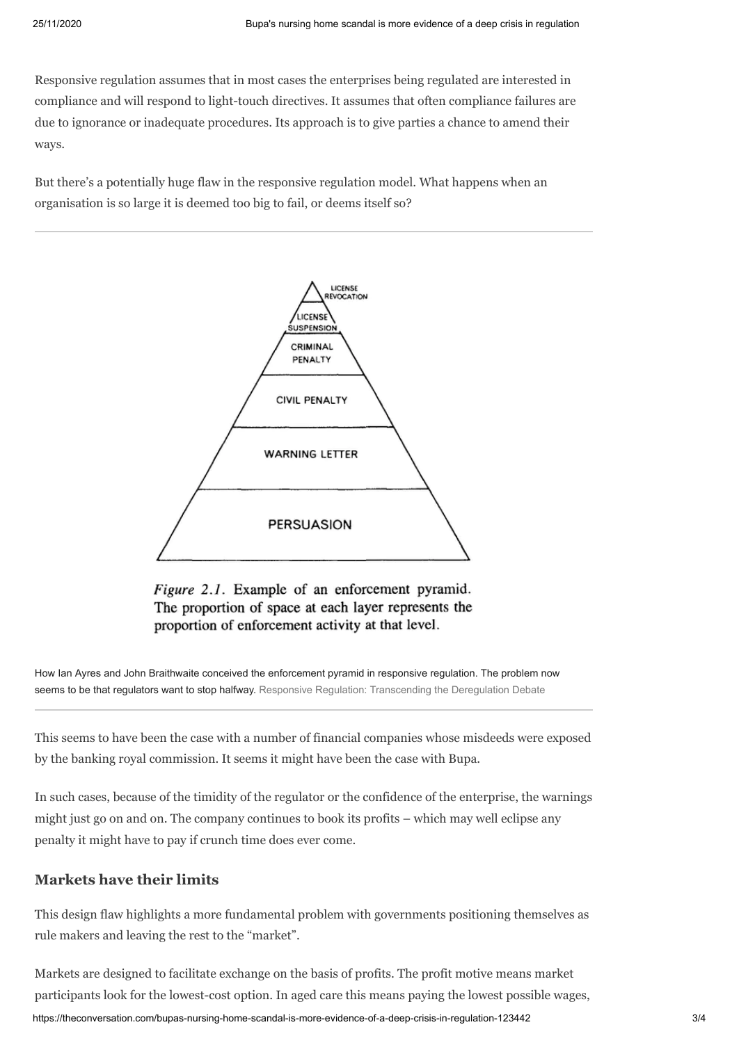Responsive regulation assumes that in most cases the enterprises being regulated are interested in compliance and will respond to light-touch directives. It assumes that often compliance failures are due to ignorance or inadequate procedures. Its approach is to give parties a chance to amend their ways.

But there's a potentially huge flaw in the responsive regulation model. What happens when an organisation is so large it is deemed too big to fail, or deems itself so?



Figure 2.1. Example of an enforcement pyramid. The proportion of space at each layer represents the proportion of enforcement activity at that level.

How Ian Ayres and John Braithwaite conceived the enforcement pyramid in responsive regulation. The problem now seems to be that regulators want to stop halfway. [Responsive Regulation: Transcending the Deregulation Debate](http://johnbraithwaite.com/wp-content/uploads/2016/06/Responsive-Regulation-Transce.pdf)

This seems to have been the case with a number of financial companies whose misdeeds were exposed by the banking royal commission. It seems it might have been the case with Bupa.

In such cases, because of the timidity of the regulator or the confidence of the enterprise, the warnings might just go on and on. The company continues to book its profits – which may well eclipse any penalty it might have to pay if crunch time does ever come.

#### **Markets have their limits**

This design flaw highlights a more fundamental problem with governments positioning themselves as rule makers and leaving the rest to the "market".

https://theconversation.com/bupas-nursing-home-scandal-is-more-evidence-of-a-deep-crisis-in-regulation-123442 3/4 Markets are designed to facilitate exchange on the basis of profits. The profit motive means market participants look for the lowest-cost option. In aged care this means paying the lowest possible wages,